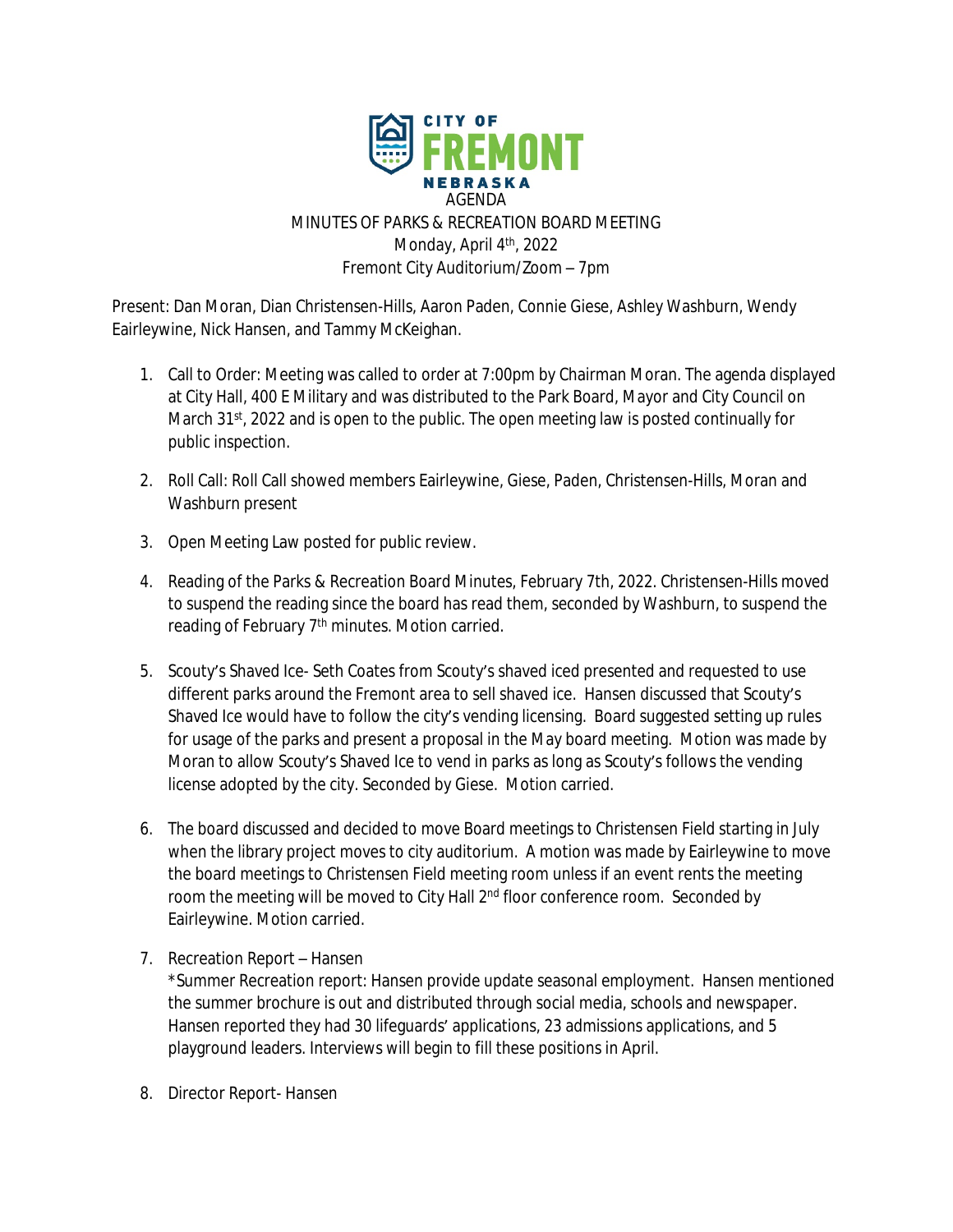

Present: Dan Moran, Dian Christensen-Hills, Aaron Paden, Connie Giese, Ashley Washburn, Wendy Eairleywine, Nick Hansen, and Tammy McKeighan.

- 1. Call to Order: Meeting was called to order at 7:00pm by Chairman Moran. The agenda displayed at City Hall, 400 E Military and was distributed to the Park Board, Mayor and City Council on March 31st, 2022 and is open to the public. The open meeting law is posted continually for public inspection.
- 2. Roll Call: Roll Call showed members Eairleywine, Giese, Paden, Christensen-Hills, Moran and Washburn present
- 3. Open Meeting Law posted for public review.
- 4. Reading of the Parks & Recreation Board Minutes, February 7th, 2022. Christensen-Hills moved to suspend the reading since the board has read them, seconded by Washburn, to suspend the reading of February 7<sup>th</sup> minutes. Motion carried.
- 5. Scouty's Shaved Ice- Seth Coates from Scouty's shaved iced presented and requested to use different parks around the Fremont area to sell shaved ice. Hansen discussed that Scouty's Shaved Ice would have to follow the city's vending licensing. Board suggested setting up rules for usage of the parks and present a proposal in the May board meeting. Motion was made by Moran to allow Scouty's Shaved Ice to vend in parks as long as Scouty's follows the vending license adopted by the city. Seconded by Giese. Motion carried.
- 6. The board discussed and decided to move Board meetings to Christensen Field starting in July when the library project moves to city auditorium. A motion was made by Eairleywine to move the board meetings to Christensen Field meeting room unless if an event rents the meeting room the meeting will be moved to City Hall 2<sup>nd</sup> floor conference room. Seconded by Eairleywine. Motion carried.
- 7. Recreation Report Hansen

\*Summer Recreation report: Hansen provide update seasonal employment. Hansen mentioned the summer brochure is out and distributed through social media, schools and newspaper. Hansen reported they had 30 lifeguards' applications, 23 admissions applications, and 5 playground leaders. Interviews will begin to fill these positions in April.

8. Director Report- Hansen